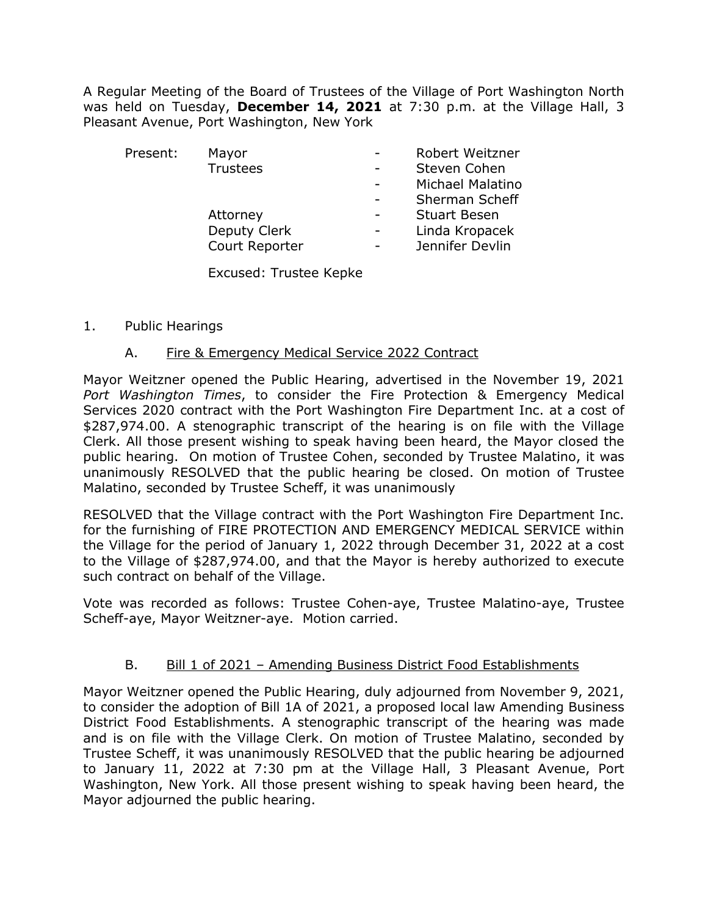A Regular Meeting of the Board of Trustees of the Village of Port Washington North was held on Tuesday, **December 14, 2021** at 7:30 p.m. at the Village Hall, 3 Pleasant Avenue, Port Washington, New York

| Present: | Mayor           | Robert Weitzner     |
|----------|-----------------|---------------------|
|          | <b>Trustees</b> | Steven Cohen        |
|          |                 | Michael Malatino    |
|          |                 | Sherman Scheff      |
|          | Attorney        | <b>Stuart Besen</b> |
|          | Deputy Clerk    | Linda Kropacek      |
|          | Court Reporter  | Jennifer Devlin     |
|          |                 |                     |

Excused: Trustee Kepke

### 1. Public Hearings

### A. Fire & Emergency Medical Service 2022 Contract

Mayor Weitzner opened the Public Hearing, advertised in the November 19, 2021 *Port Washington Times*, to consider the Fire Protection & Emergency Medical Services 2020 contract with the Port Washington Fire Department Inc. at a cost of \$287,974.00. A stenographic transcript of the hearing is on file with the Village Clerk. All those present wishing to speak having been heard, the Mayor closed the public hearing. On motion of Trustee Cohen, seconded by Trustee Malatino, it was unanimously RESOLVED that the public hearing be closed. On motion of Trustee Malatino, seconded by Trustee Scheff, it was unanimously

RESOLVED that the Village contract with the Port Washington Fire Department Inc. for the furnishing of FIRE PROTECTION AND EMERGENCY MEDICAL SERVICE within the Village for the period of January 1, 2022 through December 31, 2022 at a cost to the Village of \$287,974.00, and that the Mayor is hereby authorized to execute such contract on behalf of the Village.

Vote was recorded as follows: Trustee Cohen-aye, Trustee Malatino-aye, Trustee Scheff-aye, Mayor Weitzner-aye. Motion carried.

## B. Bill 1 of 2021 – Amending Business District Food Establishments

Mayor Weitzner opened the Public Hearing, duly adjourned from November 9, 2021, to consider the adoption of Bill 1A of 2021, a proposed local law Amending Business District Food Establishments. A stenographic transcript of the hearing was made and is on file with the Village Clerk. On motion of Trustee Malatino, seconded by Trustee Scheff, it was unanimously RESOLVED that the public hearing be adjourned to January 11, 2022 at 7:30 pm at the Village Hall, 3 Pleasant Avenue, Port Washington, New York. All those present wishing to speak having been heard, the Mayor adjourned the public hearing.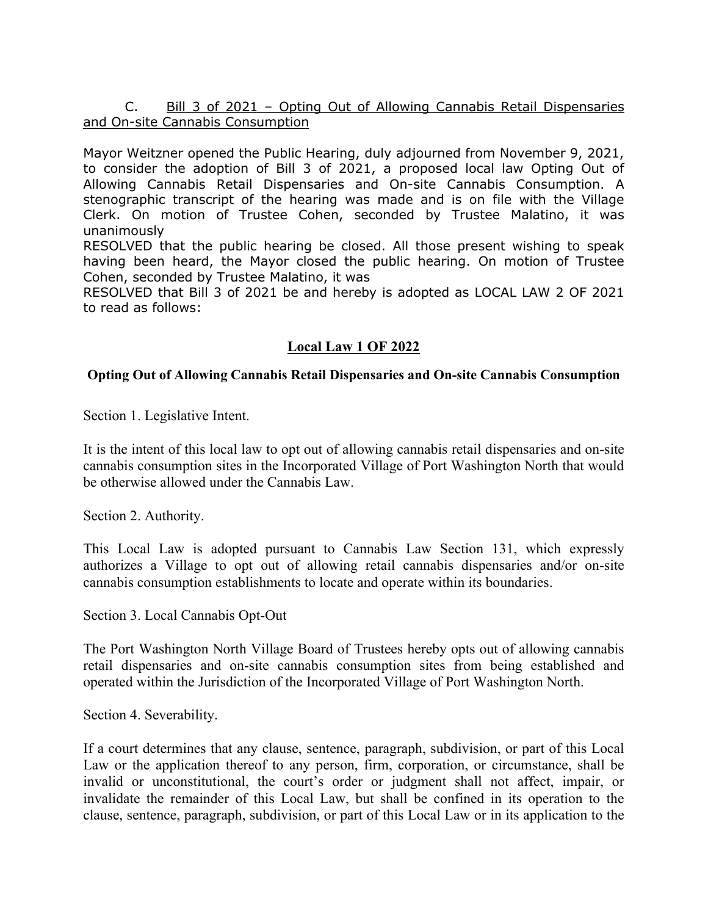## C. Bill 3 of 2021 - Opting Out of Allowing Cannabis Retail Dispensaries and On-site Cannabis Consumption

Mayor Weitzner opened the Public Hearing, duly adjourned from November 9, 2021, to consider the adoption of Bill 3 of 2021, a proposed local law Opting Out of Allowing Cannabis Retail Dispensaries and On-site Cannabis Consumption. A stenographic transcript of the hearing was made and is on file with the Village Clerk. On motion of Trustee Cohen, seconded by Trustee Malatino, it was unanimously

RESOLVED that the public hearing be closed. All those present wishing to speak having been heard, the Mayor closed the public hearing. On motion of Trustee Cohen, seconded by Trustee Malatino, it was

RESOLVED that Bill 3 of 2021 be and hereby is adopted as LOCAL LAW 2 OF 2021 to read as follows:

# **Local Law 1 OF 2022**

## **Opting Out of Allowing Cannabis Retail Dispensaries and On-site Cannabis Consumption**

Section 1. Legislative Intent.

It is the intent of this local law to opt out of allowing cannabis retail dispensaries and on-site cannabis consumption sites in the Incorporated Village of Port Washington North that would be otherwise allowed under the Cannabis Law.

Section 2. Authority.

This Local Law is adopted pursuant to Cannabis Law Section 131, which expressly authorizes a Village to opt out of allowing retail cannabis dispensaries and/or on-site cannabis consumption establishments to locate and operate within its boundaries.

Section 3. Local Cannabis Opt-Out

The Port Washington North Village Board of Trustees hereby opts out of allowing cannabis retail dispensaries and on-site cannabis consumption sites from being established and operated within the Jurisdiction of the Incorporated Village of Port Washington North.

Section 4. Severability.

If a court determines that any clause, sentence, paragraph, subdivision, or part of this Local Law or the application thereof to any person, firm, corporation, or circumstance, shall be invalid or unconstitutional, the court's order or judgment shall not affect, impair, or invalidate the remainder of this Local Law, but shall be confined in its operation to the clause, sentence, paragraph, subdivision, or part of this Local Law or in its application to the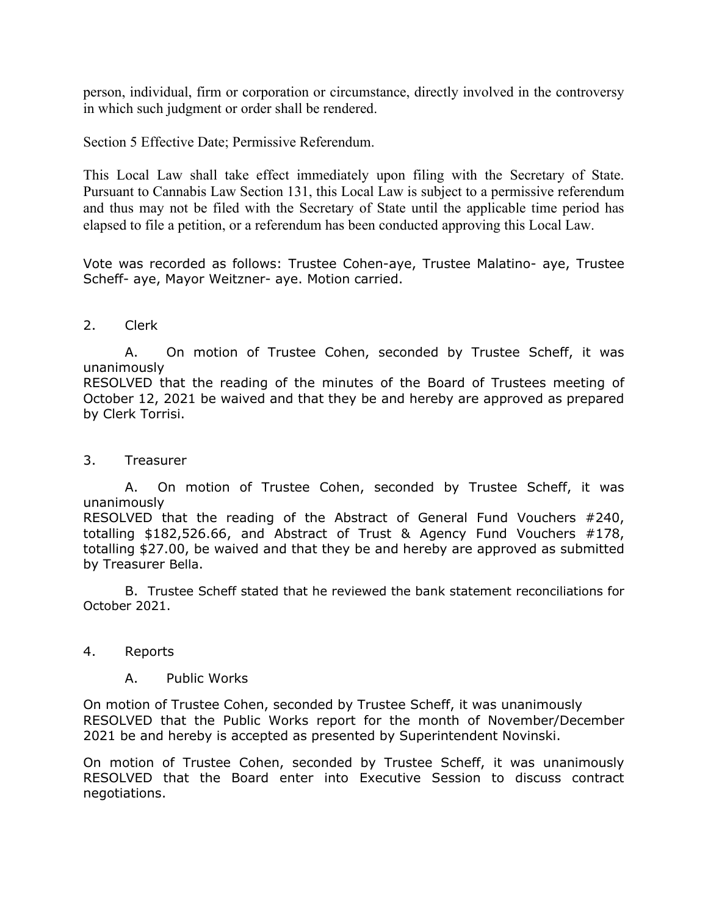person, individual, firm or corporation or circumstance, directly involved in the controversy in which such judgment or order shall be rendered.

Section 5 Effective Date; Permissive Referendum.

This Local Law shall take effect immediately upon filing with the Secretary of State. Pursuant to Cannabis Law Section 131, this Local Law is subject to a permissive referendum and thus may not be filed with the Secretary of State until the applicable time period has elapsed to file a petition, or a referendum has been conducted approving this Local Law.

Vote was recorded as follows: Trustee Cohen-aye, Trustee Malatino- aye, Trustee Scheff- aye, Mayor Weitzner- aye. Motion carried.

# 2. Clerk

A. On motion of Trustee Cohen, seconded by Trustee Scheff, it was unanimously

RESOLVED that the reading of the minutes of the Board of Trustees meeting of October 12, 2021 be waived and that they be and hereby are approved as prepared by Clerk Torrisi.

## 3. Treasurer

A. On motion of Trustee Cohen, seconded by Trustee Scheff, it was unanimously

RESOLVED that the reading of the Abstract of General Fund Vouchers #240, totalling \$182,526.66, and Abstract of Trust & Agency Fund Vouchers #178, totalling \$27.00, be waived and that they be and hereby are approved as submitted by Treasurer Bella.

B. Trustee Scheff stated that he reviewed the bank statement reconciliations for October 2021.

## 4. Reports

#### A. Public Works

On motion of Trustee Cohen, seconded by Trustee Scheff, it was unanimously RESOLVED that the Public Works report for the month of November/December 2021 be and hereby is accepted as presented by Superintendent Novinski.

On motion of Trustee Cohen, seconded by Trustee Scheff, it was unanimously RESOLVED that the Board enter into Executive Session to discuss contract negotiations.